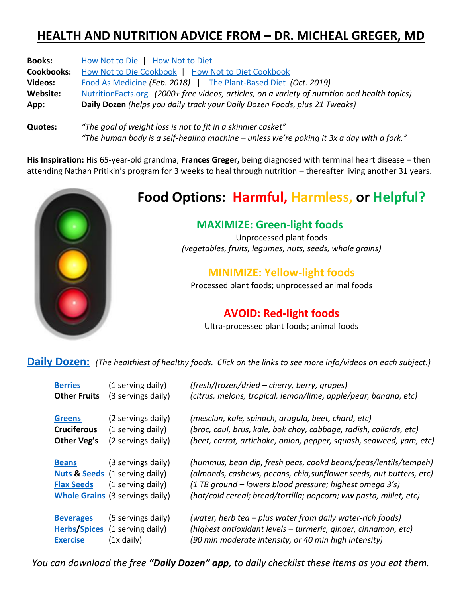### **HEALTH AND NUTRITION ADVICE FROM – DR. MICHEAL GREGER, MD**

| <b>Books:</b>     | How Not to Die   How Not to Diet                                                              |  |  |
|-------------------|-----------------------------------------------------------------------------------------------|--|--|
| <b>Cookbooks:</b> | How Not to Die Cookbook   How Not to Diet Cookbook                                            |  |  |
| <b>Videos:</b>    | Food As Medicine (Feb. 2018)   The Plant-Based Diet (Oct. 2019)                               |  |  |
| Website:          | NutritionFacts.org (2000+ free videos, articles, on a variety of nutrition and health topics) |  |  |
| App:              | Daily Dozen (helps you daily track your Daily Dozen Foods, plus 21 Tweaks)                    |  |  |
| <b>Quotes:</b>    | "The goal of weight loss is not to fit in a skinnier casket"                                  |  |  |

**His Inspiration:** His 65-year-old grandma, **Frances Greger,** being diagnosed with terminal heart disease – then attending Nathan Pritikin's program for 3 weeks to heal through nutrition – thereafter living another 31 years.

*"The human body is a self-healing machine – unless we're poking it 3x a day with a fork."*



## **Food Options: Harmful, Harmless, or Helpful?**

#### **MAXIMIZE: Green-light foods**

Unprocessed plant foods *(vegetables, fruits, legumes, nuts, seeds, whole grains)*

#### **MINIMIZE: Yellow-light foods**

Processed plant foods; unprocessed animal foods

#### **AVOID: Red-light foods**

Ultra-processed plant foods; animal foods

**[Daily Dozen:](https://nutritionfacts.org/video/dr-gregers-daily-dozen-checklist-2/)** *(The healthiest of healthy foods. Click on the links to see more info/videos on each subject.)*

| <b>Berries</b>                      | (1 serving daily)                                                                                                              | (fresh/frozen/dried – cherry, berry, grapes)                                                                                                                                                                                                                            |
|-------------------------------------|--------------------------------------------------------------------------------------------------------------------------------|-------------------------------------------------------------------------------------------------------------------------------------------------------------------------------------------------------------------------------------------------------------------------|
| <b>Other Fruits</b>                 | (3 servings daily)                                                                                                             | (citrus, melons, tropical, lemon/lime, apple/pear, banana, etc)                                                                                                                                                                                                         |
| <b>Greens</b>                       | (2 servings daily)                                                                                                             | (mesclun, kale, spinach, arugula, beet, chard, etc)                                                                                                                                                                                                                     |
| <b>Cruciferous</b>                  | (1 serving daily)                                                                                                              | (broc, caul, brus, kale, bok choy, cabbage, radish, collards, etc)                                                                                                                                                                                                      |
| Other Veg's                         | (2 servings daily)                                                                                                             | (beet, carrot, artichoke, onion, pepper, squash, seaweed, yam, etc)                                                                                                                                                                                                     |
| <b>Beans</b><br><b>Flax Seeds</b>   | (3 servings daily)<br><b>Nuts &amp; Seeds</b> (1 serving daily)<br>(1 serving daily)<br><b>Whole Grains (3 servings daily)</b> | (hummus, bean dip, fresh peas, cookd beans/peas/lentils/tempeh)<br>(almonds, cashews, pecans, chia, sunflower seeds, nut butters, etc)<br>(1 TB ground – lowers blood pressure; highest omega 3's)<br>(hot/cold cereal; bread/tortilla; popcorn; ww pasta, millet, etc) |
| <b>Beverages</b><br><b>Exercise</b> | (5 servings daily)<br>Herbs/Spices (1 serving daily)<br>(1x daily)                                                             | (water, herb tea – plus water from daily water-rich foods)<br>(highest antioxidant levels - turmeric, ginger, cinnamon, etc)<br>(90 min moderate intensity, or 40 min high intensity)                                                                                   |

*You can download the free "Daily Dozen" app, to daily checklist these items as you eat them.*